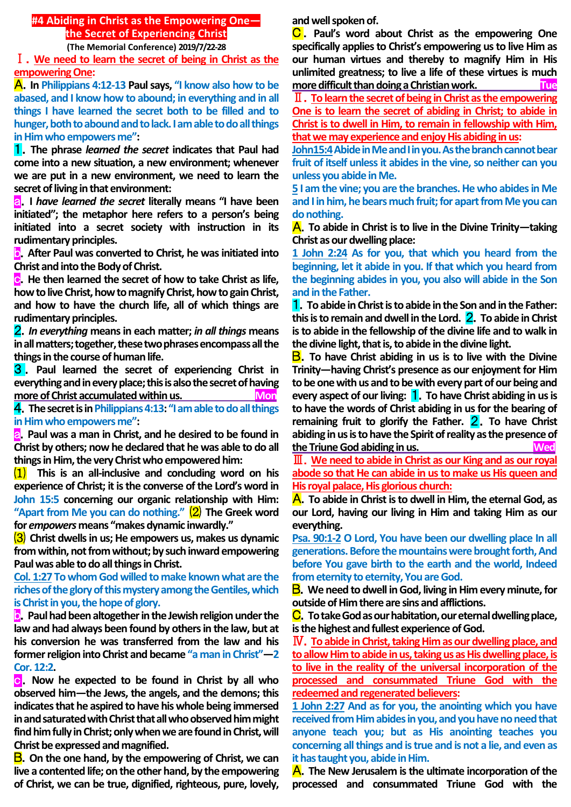## **#4 Abiding in Christ as the Empowering One the Secret of Experiencing Christ**

**(The Memorial Conference) 2019/7/22-28**

Ⅰ.**We need to learn the secret of being in Christ as the empowering One:**

A.**In Philippians 4:12-13 Paul says, "I know also how to be abased, and I know how to abound; in everything and in all things I have learned the secret both to be filled and to hunger, both to abound and to lack. I am able to do all things in Him who empowers me":**

1.**The phrase** *learned the secret* **indicates that Paul had come into a new situation, a new environment; whenever we are put in a new environment, we need to learn the secret of living in that environment:**

a.**I** *have learned the secret* **literally means "I have been initiated"; the metaphor here refers to a person's being initiated into a secret society with instruction in its rudimentary principles.**

**b.** After Paul was converted to Christ, he was initiated into **Christ and into the Body of Christ.** 

**c**. He then learned the secret of how to take Christ as life, **how to live Christ, how to magnify Christ, how to gain Christ, and how to have the church life, all of which things are rudimentary principles.**

2.*In everything* **means in each matter;** *in all things* **means in all matters; together, these two phrases encompass all the things in the course of human life.**

3 . **Paul learned the secret of experiencing Christ in everything and in every place; this is also the secret of having more of Christ accumulated within us.** Mon

4.**The secret is in Philippians 4:13: "I am able to do all things in Him who empowers me":** 

**a.** Paul was a man in Christ, and he desired to be found in **Christ by others; now he declared that he was able to do all things in Him, the very Christ who empowered him:**

⑴ **This is an all-inclusive and concluding word on his experience of Christ; it is the converse of the Lord's word in John 15:5 concerning our organic relationship with Him: "Apart from Me you can do nothing."** ⑵ **The Greek word for** *empowers***means "makes dynamic inwardly."**

⑶ **Christ dwells in us; He empowers us, makes us dynamic from within, not from without; by such inward empowering Paul was able to do all things in Christ.**

**Col. 1:27 To whom God willed to make known what are the riches of the glory of this mystery among the Gentiles, which is Christ in you, the hope of glory.**

**D.** Paul had been altogether in the Jewish religion under the **law and had always been found by others in the law, but at his conversion he was transferred from the law and his former religion into Christ and became "a man in Christ"—2 Cor. 12:2.**

**c.** Now he expected to be found in Christ by all who **observed him—the Jews, the angels, and the demons; this indicates that he aspired to have his whole being immersed in and saturated with Christ that all who observed him might find him fully in Christ; only when we are found in Christ, will Christ be expressed and magnified.**

B.**On the one hand, by the empowering of Christ, we can live a contented life; on the other hand, by the empowering of Christ, we can be true, dignified, righteous, pure, lovely,** 

**and well spoken of.**

C . **Paul's word about Christ as the empowering One specifically applies to Christ's empowering us to live Him as our human virtues and thereby to magnify Him in His unlimited greatness; to live a life of these virtues is much more difficult than doing a Christian work. Tue**

Ⅱ.**To learn the secret of being in Christ as the empowering One is to learn the secret of abiding in Christ; to abide in Christ is to dwell in Him, to remain in fellowship with Him, that we may experience and enjoy His abiding in us:** 

**John15:4Abide in Me and I in you. As the branch cannot bear fruit of itself unless it abides in the vine, so neither can you unless you abide in Me.** 

**5 I am the vine; you are the branches. He who abides in Me and I in him, he bears much fruit; for apart from Me you can do nothing.**

A.**To abide in Christ is to live in the Divine Trinity—taking Christ as our dwelling place:** 

**1 John 2:24 As for you, that which you heard from the beginning, let it abide in you. If that which you heard from the beginning abides in you, you also will abide in the Son and in the Father.** 

1.**To abide in Christ is to abide in the Son and in the Father: this is to remain and dwell in the Lord.** 2.**To abide in Christ is to abide in the fellowship of the divine life and to walk in the divine light, that is, to abide in the divine light.**

B.**To have Christ abiding in us is to live with the Divine Trinity—having Christ's presence as our enjoyment for Him to be one with us and to be with every part of our being and every aspect of our living:** 1.**To have Christ abiding in us is to have the words of Christ abiding in us for the bearing of remaining fruit to glorify the Father.** 2.**To have Christ abiding in us is to have the Spirit of reality as the presence of the Triune God abiding in us.** Wed

Ⅲ.**We need to abide in Christ as our King and as our royal abode so that He can abide in us to make us His queen and His royal palace, His glorious church:**

A.**To abide in Christ is to dwell in Him, the eternal God, as our Lord, having our living in Him and taking Him as our everything.** 

**Psa. 90:1-2 O Lord, You have been our dwelling place In all generations. Before the mountains were brought forth, And before You gave birth to the earth and the world, Indeed from eternity to eternity, You are God.**

B.**We need to dwell in God, living in Him every minute, for outside of Him there are sins and afflictions.**

C.**To take God as our habitation, our eternal dwelling place, isthe highest and fullest experience of God.**

Ⅳ.**To abide in Christ, taking Him as our dwelling place, and to allow Him to abide in us, taking us as His dwelling place, is to live in the reality of the universal incorporation of the processed and consummated Triune God with the redeemed and regenerated believers:** 

**1 John 2:27 And as for you, the anointing which you have received from Him abides in you, and you have no need that anyone teach you; but as His anointing teaches you concerning all things and is true and is not a lie, and even as it has taught you, abide in Him.**

A.**The New Jerusalem is the ultimate incorporation of the processed and consummated Triune God with the**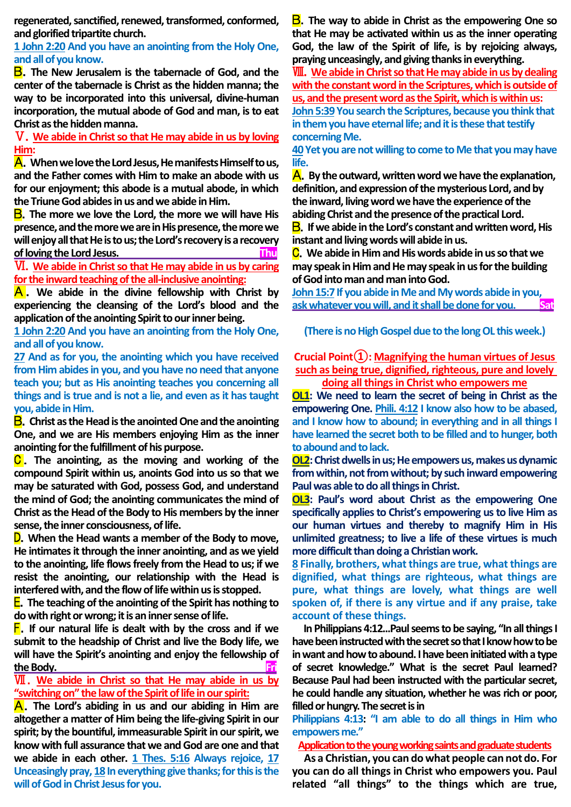**regenerated, sanctified, renewed, transformed, conformed, and glorified tripartite church.** 

**1 John 2:20 And you have an anointing from the Holy One, and allof you know.**

B.**The New Jerusalem is the tabernacle of God, and the center of the tabernacle is Christ as the hidden manna; the way to be incorporated into this universal, divine-human incorporation, the mutual abode of God and man, is to eat Christ as the hidden manna.**

Ⅴ.**We abide in Christ so that He may abide in us by loving Him:**

A.**When we love the Lord Jesus, He manifests Himself to us, and the Father comes with Him to make an abode with us for our enjoyment; this abode is a mutual abode, in which the Triune God abides in us and we abide in Him.**

B.**The more we love the Lord, the more we will have His presence, and the more we are in His presence, the more we will enjoy all that He is to us; the Lord's recovery is a recovery of loving the Lord Jesus. Thu**

Ⅵ.**We abide in Christ so that He may abide in us by caring for the inward teaching of the all-inclusive anointing:**

A . **We abide in the divine fellowship with Christ by experiencing the cleansing of the Lord's blood and the application of the anointing Spirit to our inner being.** 

**1 John 2:20 And you have an anointing from the Holy One, and all of you know.** 

**27 And as for you, the anointing which you have received from Him abides in you, and you have no need that anyone teach you; but as His anointing teaches you concerning all things and is true and is not a lie, and even as it has taught you, abide in Him.**

B.**Christ as the Head is the anointed One and the anointing One, and we are His members enjoying Him as the inner anointing for the fulfillment of his purpose.** 

C . **The anointing, as the moving and working of the compound Spirit within us, anoints God into us so that we may be saturated with God, possess God, and understand the mind of God; the anointing communicates the mind of Christ as the Head of the Body to His members by the inner sense, the inner consciousness, of life.**

D.**When the Head wants a member of the Body to move, He intimates it through the inner anointing, and as we yield to the anointing, life flows freely from the Head to us; if we resist the anointing, our relationship with the Head is interfered with, and the flow of life within us is stopped.** 

**E.** The teaching of the anointing of the Spirit has nothing to **do with right or wrong; it is an inner sense of life.**

F.**If our natural life is dealt with by the cross and if we submit to the headship of Christ and live the Body life, we will have the Spirit's anointing and enjoy the fellowship of the Body.** Fri

## Ⅶ.**We abide in Christ so that He may abide in us by "switching on" the law of the Spirit of life in our spirit:**

A.**The Lord's abiding in us and our abiding in Him are altogether a matter of Him being the life-giving Spirit in our spirit; by the bountiful, immeasurable Spirit in our spirit, we know with full assurance that we and God are one and that we abide in each other. 1 Thes. 5:16 Always rejoice, 17 Unceasingly pray, 18In everything give thanks; for this is the will of God in Christ Jesus for you.**

B.**The way to abide in Christ as the empowering One so that He may be activated within us as the inner operating God, the law of the Spirit of life, is by rejoicing always, praying unceasingly, and giving thanks in everything.**

Ⅷ.**We abide in Christ so that He may abide in us by dealing with the constant word in the Scriptures, which is outside of us, and the present word as the Spirit, which is within us:** John 5:39 You search the Scriptures, because you think that **in them you have eternal life; and it is these that testify concerning Me.** 

**40Yet you are not willing to come to Me that you may have life.**

A.**By the outward, written word we have the explanation, definition, and expression of the mysterious Lord, and by the inward, living word we have the experience of the abiding Christ and the presence of the practical Lord.**

B.**If we abide in the Lord's constant and written word, His instant and living words will abide in us.**

C.**We abide in Him and His words abide in us so that we may speak in Him and He may speak in us for the building of God into man and man into God.** 

**John 15:7 If you abide in Me and My words abide in you, ask whatever you will, and it shall be done for you. Sat**

**(There is no High Gospel due to the long OL this week.)**

**Crucial Point①: Magnifying the human virtues of Jesus such as being true, dignified, righteous, pure and lovely doing all things in Christ who empowers me**

**OL1: We need to learn the secret of being in Christ as the empowering One. Phili. 4:12 I know also how to be abased, and I know how to abound; in everything and in all things I have learned the secret both to be filled and to hunger, both to abound and to lack.** 

**OL2:** Christ dwells in us; He empowers us, makes us dynamic **from within, not from without; by such inward empowering Paul was able to do all things in Christ.** 

**OL3: Paul's word about Christ as the empowering One specifically applies to Christ's empowering us to live Him as our human virtues and thereby to magnify Him in His unlimited greatness; to live a life of these virtues is much more difficult than doing a Christian work.**

**8 Finally, brothers, what things are true, what things are dignified, what things are righteous, what things are pure, what things are lovely, what things are well spoken of, if there is any virtue and if any praise, take account of these things.**

**In Philippians 4:12...Paul seems to be saying, "In all things I have been instructedwith the secret so that I know how to be in want and how to abound. I have been initiated with a type of secret knowledge." What is the secret Paul learned? Because Paul had been instructed with the particular secret, he could handle any situation, whether he was rich or poor, filled or hungry. The secret is in** 

**Philippians 4:13: "I am able to do all things in Him who empowers me."**

**Application to the young working saints and graduate students**

**As a Christian, you can do what people can not do. For you can do all things in Christ who empowers you. Paul related "all things" to the things which are true,**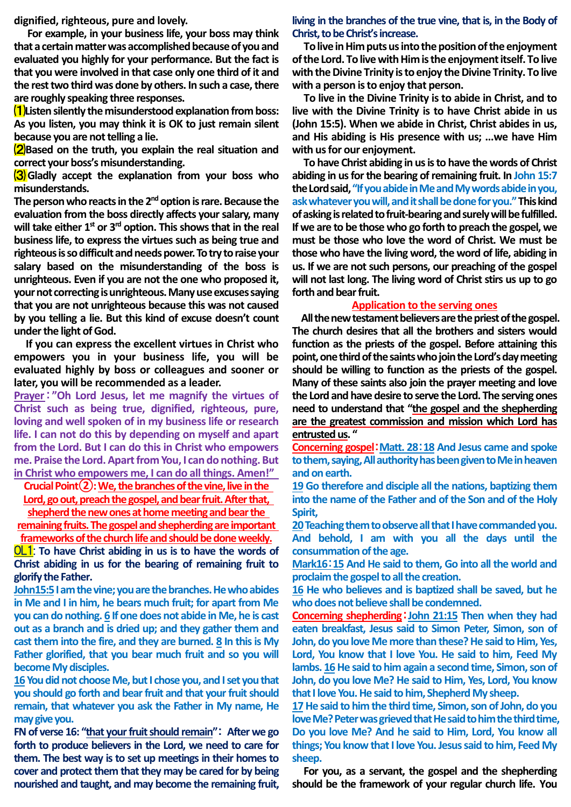**dignified, righteous, pure and lovely.**

**For example, in your business life, your boss may think that a certain matter was accomplished because of you and evaluated you highly for your performance. But the fact is that you were involved in that case only one third of it and the rest two third was done by others. In such a case, there are roughly speaking three responses.** 

⑴**Listen silently the misunderstood explanation from boss: As you listen, you may think it is OK to just remain silent because you are not telling a lie.** 

⑵**Based on the truth, you explain the real situation and correct your boss's misunderstanding.** 

⑶**Gladly accept the explanation from your boss who misunderstands.** 

**The person who reactsin the 2ndoption is rare. Because the evaluation from the boss directly affects your salary, many will take either 1st or 3rd option. This shows that in the real business life, to express the virtues such as being true and righteous is so difficult and needs power.To try to raise your salary based on the misunderstanding of the boss is unrighteous. Even if you are not the one who proposed it, your not correcting is unrighteous. Many use excuses saying that you are not unrighteous because this was not caused by you telling a lie. But this kind of excuse doesn't count under the light of God.**

**If you can express the excellent virtues in Christ who empowers you in your business life, you will be evaluated highly by boss or colleagues and sooner or later, you will be recommended as a leader.** 

**Prayer**:**"Oh Lord Jesus, let me magnify the virtues of Christ such as being true, dignified, righteous, pure, loving and well spoken of in my business life or research life. I can not do this by depending on myself and apart from the Lord. But I can do this in Christ who empowers me. Praise the Lord.Apart from You, I can do nothing. But in Christ who empowers me, I can do all things. Amen!"** 

**Crucial Point②: We, the branches of the vine, live in the Lord, go out, preach the gospel, and bear fruit. After that,** 

**shepherd the new ones at home meeting and bear the remaining fruits. The gospel and shepherding are important frameworks of the church life and should be done weekly.**

OL1: **To have Christ abiding in us is to have the words of Christ abiding in us for the bearing of remaining fruit to glorify the Father.**

**John15:5I am the vine; you are the branches. He who abides in Me and I in him, he bears much fruit; for apart from Me you can do nothing. 6 If one does not abide in Me, he is cast out as a branch and is dried up; and they gather them and cast them into the fire, and they are burned. 8 In this is My Father glorified, that you bear much fruit and so you will become My disciples.**

**16 You did not choose Me, but I chose you, and I set you that you should go forth and bear fruit and that your fruit should remain, that whatever you ask the Father in My name, He may give you.** 

**FN of verse 16: "that your fruit should remain"**: **After we go forth to produce believers in the Lord, we need to care for them. The best way is to set up meetings in their homes to cover and protect them that they may be cared for by being nourished and taught, and may become the remaining fruit,** 

**living in the branches of the true vine, that is, in the Body of Christ, to be Christ's increase.**

**To live in Him puts us into the position of the enjoyment of the Lord. To live with Him is the enjoyment itself. To live with the Divine Trinity is to enjoy the Divine Trinity. To live with a person is to enjoy that person.** 

**To live in the Divine Trinity is to abide in Christ, and to live with the Divine Trinity is to have Christ abide in us (John 15:5). When we abide in Christ, Christ abides in us, and His abiding is His presence with us; ...we have Him with us for our enjoyment.**

**To have Christ abiding in us is to have the words of Christ abiding in us for the bearing of remaining fruit. In John 15:7 the Lord said,"If you abide in Me and My words abide in you, ask whatever you will, and it shall be done for you."This kind of asking is related to fruit-bearing and surely will be fulfilled. If we are to be those who go forth to preach the gospel, we must be those who love the word of Christ. We must be those who have the living word, the word of life, abiding in us. If we are not such persons, our preaching of the gospel will not last long. The living word of Christ stirs us up to go forth and bear fruit.**

## **Application to the serving ones**

**All the new testament believers are the priest of the gospel. The church desires that all the brothers and sisters would function as the priests of the gospel. Before attaining this point, one third of the saints who join the Lord's day meeting should be willing to function as the priests of the gospel. Many of these saints also join the prayer meeting and love the Lord and have desire to serve the Lord. The serving ones need to understand that "the gospel and the shepherding are the greatest commission and mission which Lord has entrusted us. "**

**Concerning gospel**:**Matt. 28**:**18 And Jesus came and spoke to them, saying, All authority has been given to Me in heaven and on earth.** 

**19 Go therefore and disciple all the nations, baptizing them into the name of the Father and of the Son and of the Holy Spirit,** 

**20Teaching them to observe all that I have commanded you. And behold, I am with you all the days until the consummation of the age.** 

**Mark16**:**15 And He said to them, Go into all the world and proclaim the gospel to all the creation.** 

**16 He who believes and is baptized shall be saved, but he who does not believe shall be condemned.**

**Concerning shepherding**:**John 21:15 Then when they had eaten breakfast, Jesus said to Simon Peter, Simon, son of John, do you love Me more than these? He said to Him, Yes, Lord, You know that I love You. He said to him, Feed My lambs. 16He said to him again a second time, Simon, son of John, do you love Me? He said to Him, Yes, Lord, You know that I love You. He said to him, Shepherd My sheep.** 

**17He said to him the third time, Simon, son of John, do you love Me? Peter was grieved that He said to him the third time, Do you love Me? And he said to Him, Lord, You know all things; You know that I love You. Jesus said to him, Feed My sheep.**

**For you, as a servant, the gospel and the shepherding should be the framework of your regular church life. You**